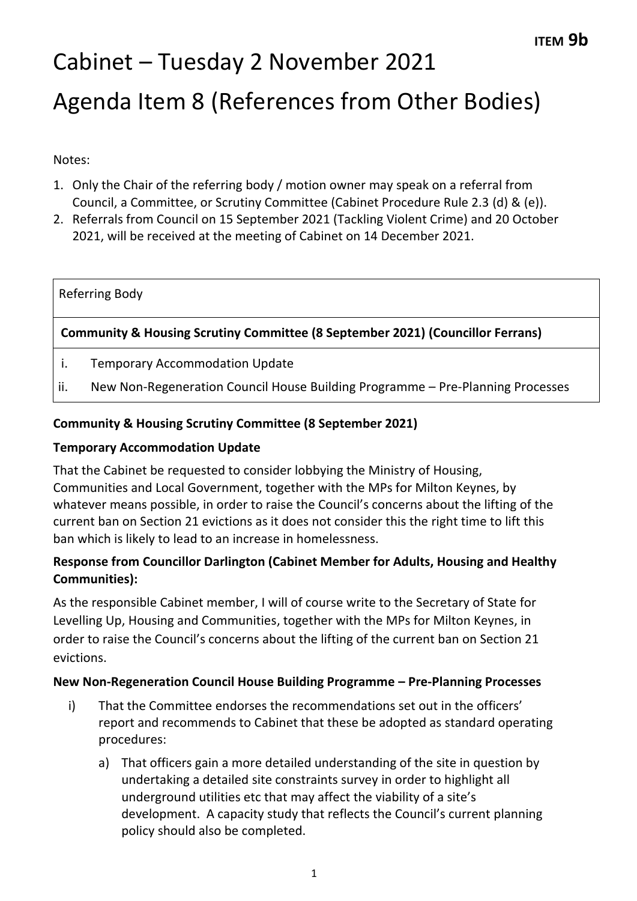# Cabinet – Tuesday 2 November 2021 Agenda Item 8 (References from Other Bodies)

Notes:

- 1. Only the Chair of the referring body / motion owner may speak on a referral from Council, a Committee, or Scrutiny Committee (Cabinet Procedure Rule 2.3 (d) & (e)).
- 2. Referrals from Council on 15 September 2021 (Tackling Violent Crime) and 20 October 2021, will be received at the meeting of Cabinet on 14 December 2021.

# Referring Body

# **Community & Housing Scrutiny Committee (8 September 2021) (Councillor Ferrans)**

- i. Temporary Accommodation Update
- ii. New Non-Regeneration Council House Building Programme Pre-Planning Processes

### **Community & Housing Scrutiny Committee (8 September 2021)**

### **Temporary Accommodation Update**

That the Cabinet be requested to consider lobbying the Ministry of Housing, Communities and Local Government, together with the MPs for Milton Keynes, by whatever means possible, in order to raise the Council's concerns about the lifting of the current ban on Section 21 evictions as it does not consider this the right time to lift this ban which is likely to lead to an increase in homelessness.

# **Response from Councillor Darlington (Cabinet Member for Adults, Housing and Healthy Communities):**

As the responsible Cabinet member, I will of course write to the Secretary of State for Levelling Up, Housing and Communities, together with the MPs for Milton Keynes, in order to raise the Council's concerns about the lifting of the current ban on Section 21 evictions.

#### **New Non-Regeneration Council House Building Programme – Pre-Planning Processes**

- i) That the Committee endorses the recommendations set out in the officers' report and recommends to Cabinet that these be adopted as standard operating procedures:
	- a) That officers gain a more detailed understanding of the site in question by undertaking a detailed site constraints survey in order to highlight all underground utilities etc that may affect the viability of a site's development. A capacity study that reflects the Council's current planning policy should also be completed.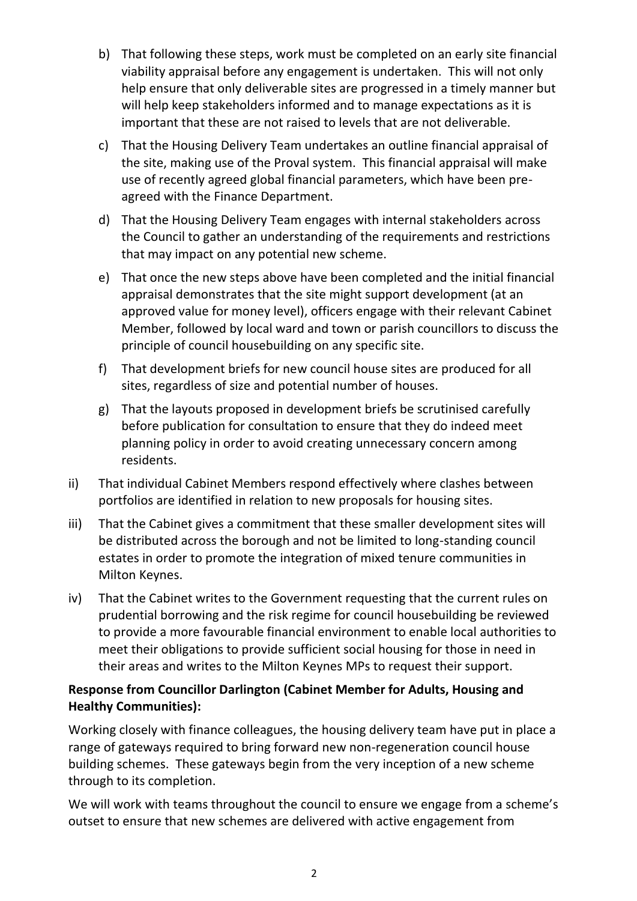- b) That following these steps, work must be completed on an early site financial viability appraisal before any engagement is undertaken. This will not only help ensure that only deliverable sites are progressed in a timely manner but will help keep stakeholders informed and to manage expectations as it is important that these are not raised to levels that are not deliverable.
- c) That the Housing Delivery Team undertakes an outline financial appraisal of the site, making use of the Proval system. This financial appraisal will make use of recently agreed global financial parameters, which have been preagreed with the Finance Department.
- d) That the Housing Delivery Team engages with internal stakeholders across the Council to gather an understanding of the requirements and restrictions that may impact on any potential new scheme.
- e) That once the new steps above have been completed and the initial financial appraisal demonstrates that the site might support development (at an approved value for money level), officers engage with their relevant Cabinet Member, followed by local ward and town or parish councillors to discuss the principle of council housebuilding on any specific site.
- f) That development briefs for new council house sites are produced for all sites, regardless of size and potential number of houses.
- g) That the layouts proposed in development briefs be scrutinised carefully before publication for consultation to ensure that they do indeed meet planning policy in order to avoid creating unnecessary concern among residents.
- ii) That individual Cabinet Members respond effectively where clashes between portfolios are identified in relation to new proposals for housing sites.
- iii) That the Cabinet gives a commitment that these smaller development sites will be distributed across the borough and not be limited to long-standing council estates in order to promote the integration of mixed tenure communities in Milton Keynes.
- iv) That the Cabinet writes to the Government requesting that the current rules on prudential borrowing and the risk regime for council housebuilding be reviewed to provide a more favourable financial environment to enable local authorities to meet their obligations to provide sufficient social housing for those in need in their areas and writes to the Milton Keynes MPs to request their support.

# **Response from Councillor Darlington (Cabinet Member for Adults, Housing and Healthy Communities):**

Working closely with finance colleagues, the housing delivery team have put in place a range of gateways required to bring forward new non-regeneration council house building schemes. These gateways begin from the very inception of a new scheme through to its completion.

We will work with teams throughout the council to ensure we engage from a scheme's outset to ensure that new schemes are delivered with active engagement from